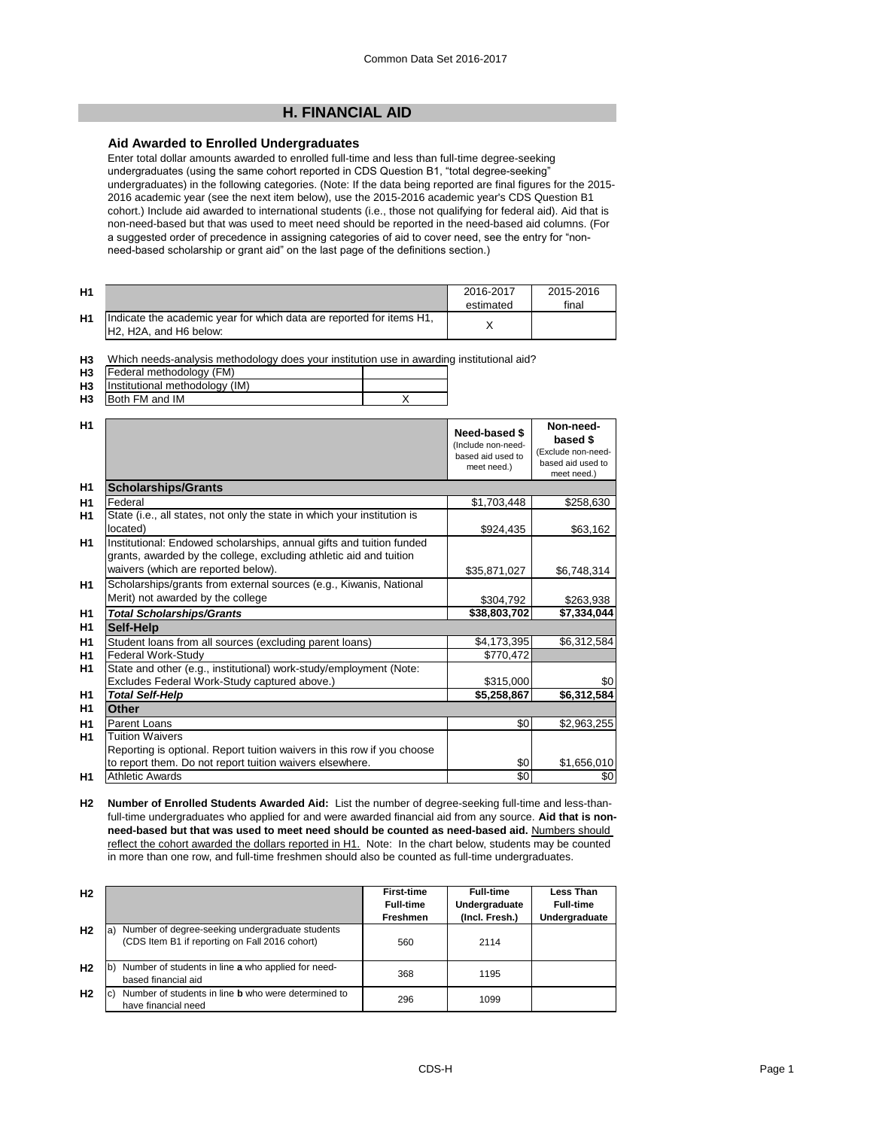# **H. FINANCIAL AID**

### **Aid Awarded to Enrolled Undergraduates**

Enter total dollar amounts awarded to enrolled full-time and less than full-time degree-seeking undergraduates (using the same cohort reported in CDS Question B1, "total degree-seeking" undergraduates) in the following categories. (Note: If the data being reported are final figures for the 2015- 2016 academic year (see the next item below), use the 2015-2016 academic year's CDS Question B1 cohort.) Include aid awarded to international students (i.e., those not qualifying for federal aid). Aid that is non-need-based but that was used to meet need should be reported in the need-based aid columns. (For a suggested order of precedence in assigning categories of aid to cover need, see the entry for "nonneed-based scholarship or grant aid" on the last page of the definitions section.)

| H <sub>1</sub> |                                                                                                                                      | 2016-2017<br>estimated | 2015-2016<br>final |
|----------------|--------------------------------------------------------------------------------------------------------------------------------------|------------------------|--------------------|
| H <sub>1</sub> | Indicate the academic year for which data are reported for items H1,<br>H <sub>2</sub> , H <sub>2</sub> A, and H <sub>6</sub> below: |                        |                    |

**H3** Which needs-analysis methodology does your institution use in awarding institutional aid?

| H3        | Federal methodology (FM)       |  |
|-----------|--------------------------------|--|
| <b>H3</b> | Institutional methodology (IM) |  |

**H3** Both FM and IM  $\overline{X}$ 

| H <sub>1</sub> |                                                                                                                                                                                   | Need-based \$<br>(Include non-need-<br>based aid used to<br>meet need.) | Non-need-<br>based \$<br>(Exclude non-need-<br>based aid used to<br>meet need.) |
|----------------|-----------------------------------------------------------------------------------------------------------------------------------------------------------------------------------|-------------------------------------------------------------------------|---------------------------------------------------------------------------------|
| H1             | <b>Scholarships/Grants</b>                                                                                                                                                        |                                                                         |                                                                                 |
| H1             | Federal                                                                                                                                                                           | \$1,703,448                                                             | \$258,630                                                                       |
| H <sub>1</sub> | State (i.e., all states, not only the state in which your institution is<br>located)                                                                                              | \$924,435                                                               | \$63,162                                                                        |
| H <sub>1</sub> | Institutional: Endowed scholarships, annual gifts and tuition funded<br>grants, awarded by the college, excluding athletic aid and tuition<br>waivers (which are reported below). | \$35,871,027                                                            | \$6,748,314                                                                     |
| H <sub>1</sub> | Scholarships/grants from external sources (e.g., Kiwanis, National<br>Merit) not awarded by the college                                                                           | \$304,792                                                               | \$263,938                                                                       |
| H <sub>1</sub> | <b>Total Scholarships/Grants</b>                                                                                                                                                  | \$38,803,702                                                            | \$7,334,044                                                                     |
| H <sub>1</sub> | Self-Help                                                                                                                                                                         |                                                                         |                                                                                 |
| H <sub>1</sub> | Student loans from all sources (excluding parent loans)                                                                                                                           | \$4,173,395                                                             | \$6,312,584                                                                     |
| H <sub>1</sub> | Federal Work-Study                                                                                                                                                                | \$770,472                                                               |                                                                                 |
| H1             | State and other (e.g., institutional) work-study/employment (Note:                                                                                                                |                                                                         |                                                                                 |
|                | Excludes Federal Work-Study captured above.)                                                                                                                                      | \$315,000                                                               | \$0                                                                             |
| H <sub>1</sub> | <b>Total Self-Help</b>                                                                                                                                                            | \$5,258,867                                                             | \$6,312,584                                                                     |
| H <sub>1</sub> | Other                                                                                                                                                                             |                                                                         |                                                                                 |
| H <sub>1</sub> | Parent Loans                                                                                                                                                                      | \$0                                                                     | \$2,963,255                                                                     |
| H1             | <b>Tuition Waivers</b>                                                                                                                                                            |                                                                         |                                                                                 |
|                | Reporting is optional. Report tuition waivers in this row if you choose                                                                                                           |                                                                         |                                                                                 |
|                | to report them. Do not report tuition waivers elsewhere.                                                                                                                          | \$0                                                                     | \$1,656,010                                                                     |
| H1             | <b>Athletic Awards</b>                                                                                                                                                            | \$0                                                                     | \$0                                                                             |

**H2 Number of Enrolled Students Awarded Aid:** List the number of degree-seeking full-time and less-thanfull-time undergraduates who applied for and were awarded financial aid from any source. **Aid that is non**need-based but that was used to meet need should be counted as need-based aid. Numbers should reflect the cohort awarded the dollars reported in H1. Note: In the chart below, students may be counted in more than one row, and full-time freshmen should also be counted as full-time undergraduates.

| H <sub>2</sub> |                                                                                                        | <b>First-time</b><br><b>Full-time</b><br><b>Freshmen</b> | <b>Full-time</b><br>Undergraduate<br>(Incl. Fresh.) | Less Than<br><b>Full-time</b><br>Undergraduate |
|----------------|--------------------------------------------------------------------------------------------------------|----------------------------------------------------------|-----------------------------------------------------|------------------------------------------------|
| H <sub>2</sub> | Number of degree-seeking undergraduate students<br>a<br>(CDS Item B1 if reporting on Fall 2016 cohort) | 560                                                      | 2114                                                |                                                |
| H <sub>2</sub> | Number of students in line a who applied for need-<br>(b<br>based financial aid                        | 368                                                      | 1195                                                |                                                |
| H <sub>2</sub> | Number of students in line <b>b</b> who were determined to<br>l C)<br>have financial need              | 296                                                      | 1099                                                |                                                |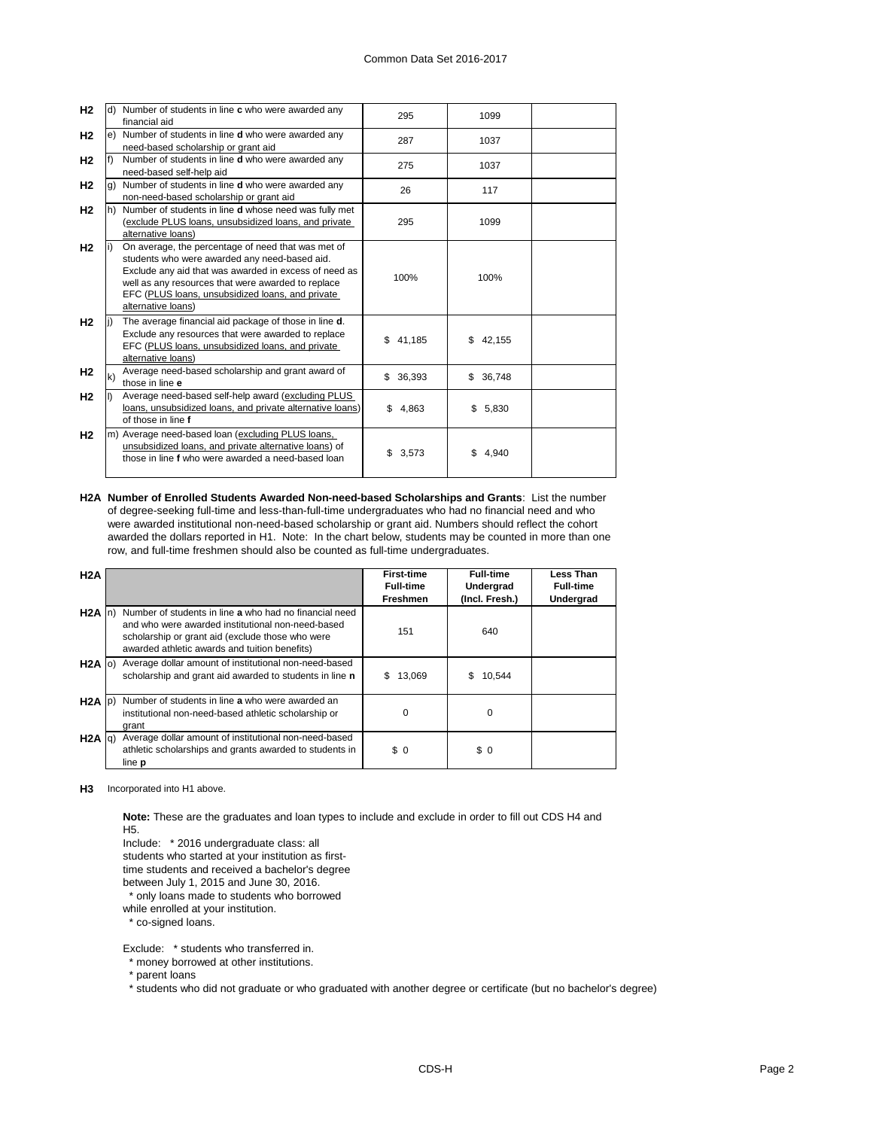| H <sub>2</sub> |              | d) Number of students in line c who were awarded any<br>financial aid                                                                                                                                                                                                                        | 295          | 1099         |  |
|----------------|--------------|----------------------------------------------------------------------------------------------------------------------------------------------------------------------------------------------------------------------------------------------------------------------------------------------|--------------|--------------|--|
| H <sub>2</sub> |              | e) Number of students in line <b>d</b> who were awarded any<br>need-based scholarship or grant aid                                                                                                                                                                                           | 287          | 1037         |  |
| H2             |              | Number of students in line d who were awarded any<br>need-based self-help aid                                                                                                                                                                                                                | 275          | 1037         |  |
| H <sub>2</sub> | l q)         | Number of students in line <b>d</b> who were awarded any<br>non-need-based scholarship or grant aid                                                                                                                                                                                          | 26           | 117          |  |
| H <sub>2</sub> |              | h) Number of students in line d whose need was fully met<br>(exclude PLUS loans, unsubsidized loans, and private<br>alternative loans)                                                                                                                                                       | 295          | 1099         |  |
| H <sub>2</sub> |              | On average, the percentage of need that was met of<br>students who were awarded any need-based aid.<br>Exclude any aid that was awarded in excess of need as<br>well as any resources that were awarded to replace<br>EFC (PLUS loans, unsubsidized loans, and private<br>alternative loans) | 100%         | 100%         |  |
| H <sub>2</sub> |              | The average financial aid package of those in line d.<br>Exclude any resources that were awarded to replace<br>EFC (PLUS loans, unsubsidized loans, and private<br>alternative loans)                                                                                                        | \$41,185     | \$<br>42.155 |  |
| H <sub>2</sub> | $\mathsf{k}$ | Average need-based scholarship and grant award of<br>those in line e                                                                                                                                                                                                                         | 36,393<br>\$ | \$36,748     |  |
| H <sub>2</sub> |              | Average need-based self-help award (excluding PLUS<br>loans, unsubsidized loans, and private alternative loans)<br>of those in line f                                                                                                                                                        | \$<br>4,863  | \$5,830      |  |
| H <sub>2</sub> |              | m) Average need-based loan (excluding PLUS loans,<br>unsubsidized loans, and private alternative loans) of<br>those in line f who were awarded a need-based loan                                                                                                                             | \$3,573      | \$<br>4.940  |  |

**H2A Number of Enrolled Students Awarded Non-need-based Scholarships and Grants**: List the number of degree-seeking full-time and less-than-full-time undergraduates who had no financial need and who were awarded institutional non-need-based scholarship or grant aid. Numbers should reflect the cohort awarded the dollars reported in H1. Note: In the chart below, students may be counted in more than one row, and full-time freshmen should also be counted as full-time undergraduates.

| H2A             |                                                                                                                                                                                                                  | <b>First-time</b><br><b>Full-time</b><br><b>Freshmen</b> | <b>Full-time</b><br>Undergrad<br>(Incl. Fresh.) | Less Than<br><b>Full-time</b><br>Undergrad |
|-----------------|------------------------------------------------------------------------------------------------------------------------------------------------------------------------------------------------------------------|----------------------------------------------------------|-------------------------------------------------|--------------------------------------------|
| $H2A \ln$       | Number of students in line a who had no financial need<br>and who were awarded institutional non-need-based<br>scholarship or grant aid (exclude those who were<br>awarded athletic awards and tuition benefits) | 151                                                      | 640                                             |                                            |
| $H2A$ (c)       | Average dollar amount of institutional non-need-based<br>scholarship and grant aid awarded to students in line n                                                                                                 | 13,069<br>\$.                                            | 10.544<br>S.                                    |                                            |
| $H2A$ $p)$      | Number of students in line a who were awarded an<br>institutional non-need-based athletic scholarship or<br>grant                                                                                                | $\Omega$                                                 | $\Omega$                                        |                                            |
| $H2A  q\rangle$ | Average dollar amount of institutional non-need-based<br>athletic scholarships and grants awarded to students in<br>line <b>p</b>                                                                                | \$0                                                      | \$0                                             |                                            |

**H3** Incorporated into H1 above.

**Note:** These are the graduates and loan types to include and exclude in order to fill out CDS H4 and H5.

Include: \* 2016 undergraduate class: all

students who started at your institution as first-

time students and received a bachelor's degree

between July 1, 2015 and June 30, 2016.

\* only loans made to students who borrowed

while enrolled at your institution.

\* co-signed loans.

Exclude: \* students who transferred in.

\* money borrowed at other institutions.

\* parent loans

\* students who did not graduate or who graduated with another degree or certificate (but no bachelor's degree)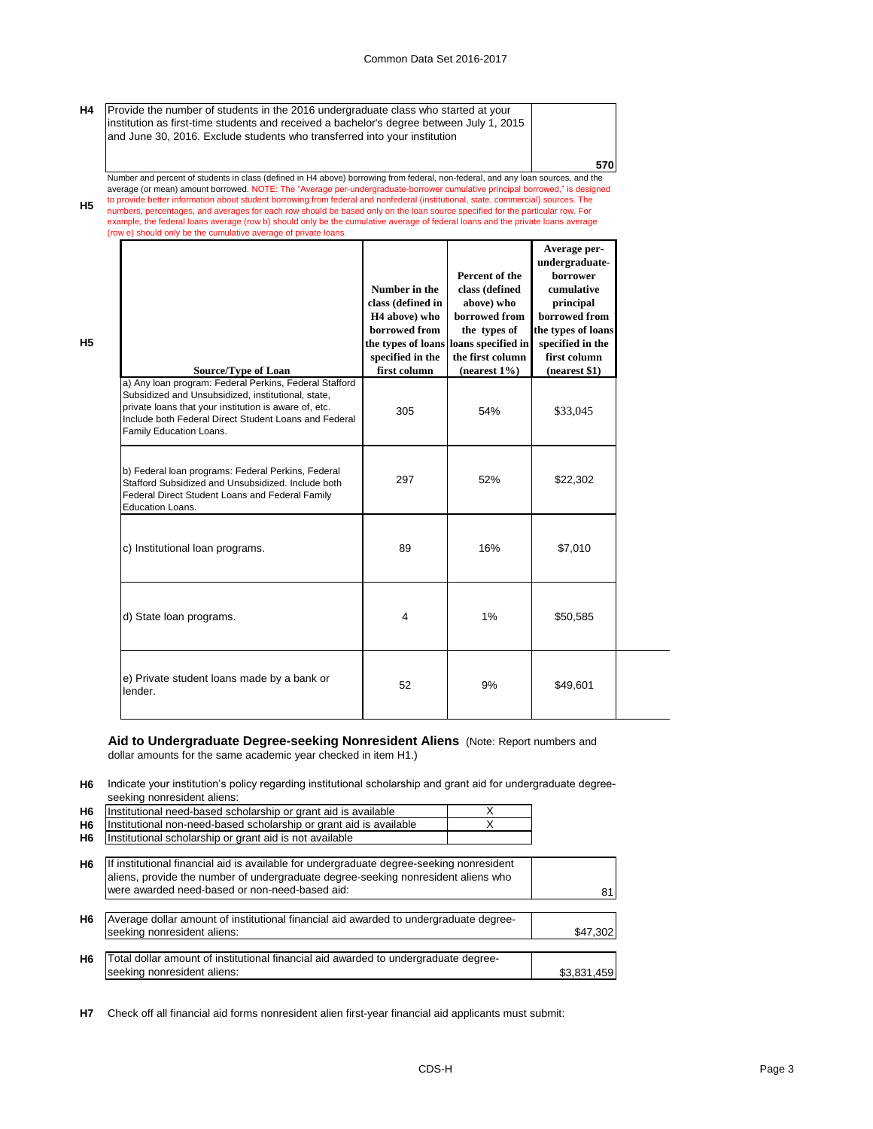**570**

81

 $\frac{1}{302}$ 

**59** 

**H4** Provide the number of students in the 2016 undergraduate class who started at your institution as first-time students and received a bachelor's degree between July 1, 2015 and June 30, 2016. Exclude students who transferred into your institution

**H5** Number and percent of students in class (defined in H4 above) borrowing from federal, non-federal, and any loan sources, and the average (or mean) amount borrowed. NOTE: The "Average per-undergraduate-borrower cumulative principal borrowed," is designed<br>to provide better information about student borrowing from federal and nonfederal (institutional, numbers, percentages, and averages for each row should be based only on the loan source specified for the particular row. For example, the federal loans average (row b) should only be the cumulative average of federal loans and the private loans average (row e) should only be the cumulative average of private loans.

| <b>Source/Type of Loan</b>                                                                                                                                                                                                                                | Number in the<br>class (defined in<br>H <sub>4</sub> above) who<br>borrowed from<br>specified in the<br>first column | Percent of the<br>class (defined<br>above) who<br>borrowed from<br>the types of<br>the types of loans loans specified in<br>the first column<br>$(nearest 1\%)$ | Average per-<br>undergraduate-<br>borrower<br>cumulative<br>principal<br>borrowed from<br>the types of loans<br>specified in the<br>first column<br>$(n \text{earest } $1)$ |
|-----------------------------------------------------------------------------------------------------------------------------------------------------------------------------------------------------------------------------------------------------------|----------------------------------------------------------------------------------------------------------------------|-----------------------------------------------------------------------------------------------------------------------------------------------------------------|-----------------------------------------------------------------------------------------------------------------------------------------------------------------------------|
| a) Any Ioan program: Federal Perkins, Federal Stafford<br>Subsidized and Unsubsidized, institutional, state,<br>private loans that your institution is aware of, etc.<br>Include both Federal Direct Student Loans and Federal<br>Family Education Loans. | 305                                                                                                                  | 54%                                                                                                                                                             | \$33,045                                                                                                                                                                    |
| b) Federal loan programs: Federal Perkins, Federal<br>Stafford Subsidized and Unsubsidized. Include both<br>Federal Direct Student Loans and Federal Family<br>Education Loans.                                                                           | 297                                                                                                                  | 52%                                                                                                                                                             | \$22,302                                                                                                                                                                    |
| c) Institutional loan programs.                                                                                                                                                                                                                           | 89                                                                                                                   | 16%                                                                                                                                                             | \$7,010                                                                                                                                                                     |
| d) State loan programs.                                                                                                                                                                                                                                   | 4                                                                                                                    | 1%                                                                                                                                                              | \$50,585                                                                                                                                                                    |
| e) Private student loans made by a bank or<br>lender.                                                                                                                                                                                                     | 52                                                                                                                   | 9%                                                                                                                                                              | \$49,601                                                                                                                                                                    |

# **Aid to Undergraduate Degree-seeking Nonresident Aliens** (Note: Report numbers and

dollar amounts for the same academic year checked in item H1.)

**H5**

#### **H6** Indicate your institution's policy regarding institutional scholarship and grant aid for undergraduate degreeseeking nonresident aliens:

| H6             | Institutional need-based scholarship or grant aid is available                                                                                                                                                                  |   |           |
|----------------|---------------------------------------------------------------------------------------------------------------------------------------------------------------------------------------------------------------------------------|---|-----------|
| H <sub>6</sub> | Institutional non-need-based scholarship or grant aid is available                                                                                                                                                              | x |           |
| H6             | Institutional scholarship or grant aid is not available                                                                                                                                                                         |   |           |
|                |                                                                                                                                                                                                                                 |   |           |
| H6             | If institutional financial aid is available for undergraduate degree-seeking nonresident<br>aliens, provide the number of undergraduate degree-seeking nonresident aliens who<br>were awarded need-based or non-need-based aid: |   |           |
| H <sub>6</sub> | Average dollar amount of institutional financial aid awarded to undergraduate degree-<br>seeking nonresident aliens:                                                                                                            |   | \$47.3    |
|                |                                                                                                                                                                                                                                 |   |           |
| H <sub>6</sub> | Total dollar amount of institutional financial aid awarded to undergraduate degree-<br>seeking nonresident aliens:                                                                                                              |   | \$3,831,4 |

**H7** Check off all financial aid forms nonresident alien first-year financial aid applicants must submit: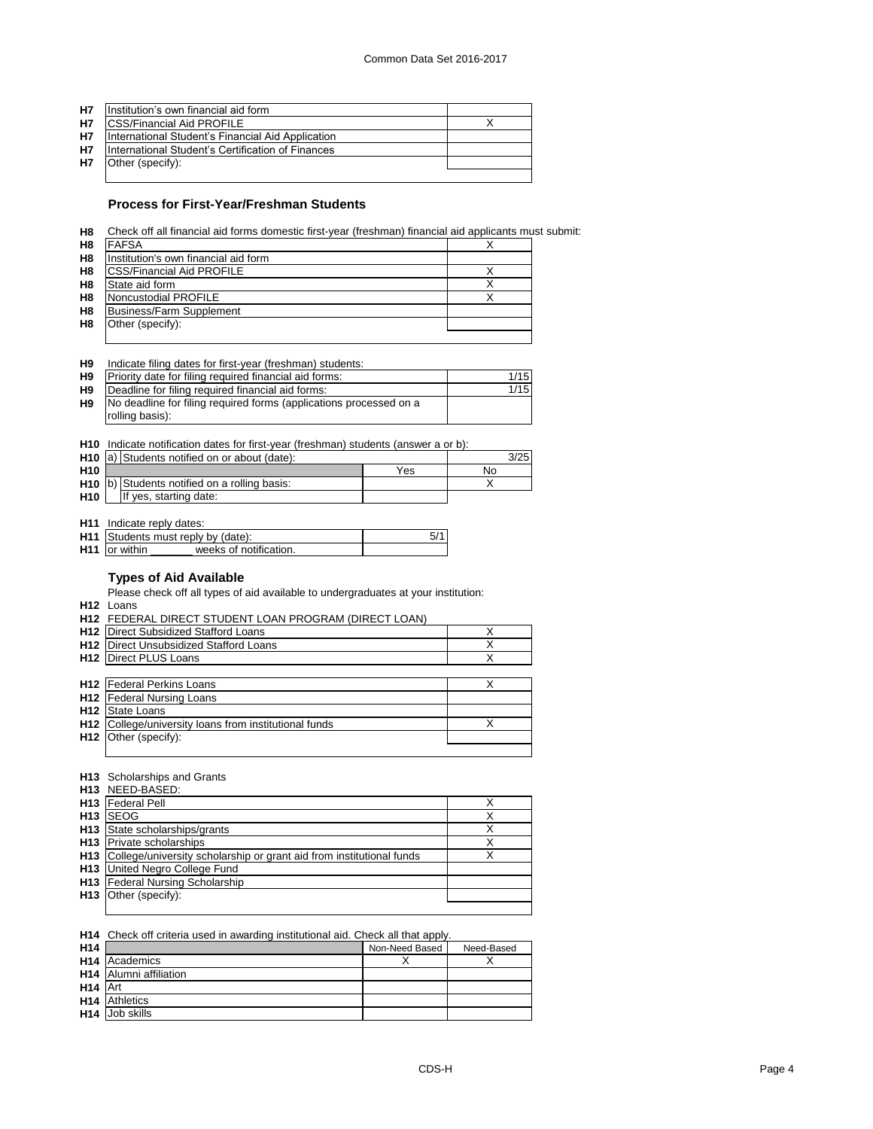| <b>H7</b> | Institution's own financial aid form              |  |
|-----------|---------------------------------------------------|--|
| <b>H7</b> | <b>ICSS/Financial Aid PROFILE</b>                 |  |
| <b>H7</b> | International Student's Financial Aid Application |  |
| <b>H7</b> | International Student's Certification of Finances |  |
| <b>H7</b> | Other (specify):                                  |  |
|           |                                                   |  |

### **Process for First-Year/Freshman Students**

**H8** Check off all financial aid forms domestic first-year (freshman) financial aid applicants must submit:

| H <sub>8</sub> | <b>FAFSA</b>                         |  |
|----------------|--------------------------------------|--|
| H <sub>8</sub> | Institution's own financial aid form |  |
| H <sub>8</sub> | <b>CSS/Financial Aid PROFILE</b>     |  |
| H <sub>8</sub> | State aid form                       |  |
| H <sub>8</sub> | Noncustodial PROFILE                 |  |
| H <sub>8</sub> | <b>Business/Farm Supplement</b>      |  |
| H <sub>8</sub> | Other (specify):                     |  |
|                |                                      |  |

| H <sub>9</sub> | Indicate filing dates for first-year (freshman) students: |  |  |  |  |
|----------------|-----------------------------------------------------------|--|--|--|--|
|----------------|-----------------------------------------------------------|--|--|--|--|

| <b>H9</b> | Priority date for filing required financial aid forms:             | 1/15 |
|-----------|--------------------------------------------------------------------|------|
| <b>H9</b> | Deadline for filing required financial aid forms:                  | 1/15 |
| H9        | No deadline for filing required forms (applications processed on a |      |
|           | rolling basis):                                                    |      |

**H10** Indicate notification dates for first-year (freshman) students (answer a or b):

|                 | H <sub>10</sub> a) Students notified on or about (date): |  | 3/25 |
|-----------------|----------------------------------------------------------|--|------|
| H <sub>10</sub> | Yes                                                      |  | No   |
|                 | H <sub>10</sub> b) Students notified on a rolling basis: |  |      |
| <b>H10</b>      | If yes, starting date:                                   |  |      |

**H11** Indicate reply dates:

|                           | <b>H11</b> Students must reply by (date): |  |
|---------------------------|-------------------------------------------|--|
| H <sub>11</sub> or within | weeks of notification.                    |  |

## **Types of Aid Available**

Please check off all types of aid available to undergraduates at your institution:

| Loans |
|-------|
|       |

|                 | H12 FEDERAL DIRECT STUDENT LOAN PROGRAM (DIRECT LOAN) |   |
|-----------------|-------------------------------------------------------|---|
| H <sub>12</sub> | Direct Subsidized Stafford Loans                      |   |
| H <sub>12</sub> | Direct Unsubsidized Stafford Loans                    |   |
|                 | <b>H12</b> Direct PLUS Loans                          | X |
|                 |                                                       |   |
|                 | <b>H12</b> Federal Perkins Loans                      | X |
| H <sub>12</sub> | <b>Federal Nursing Loans</b>                          |   |
| H <sub>12</sub> | State Loans                                           |   |
| H12             | College/university loans from institutional funds     | X |
| H <sub>12</sub> | Other (specify):                                      |   |
|                 |                                                       |   |
|                 |                                                       |   |

### **H13** Scholarships and Grants

|                 | H13 NEED-BASED:                                                                      |   |
|-----------------|--------------------------------------------------------------------------------------|---|
| H13             | <b>Federal Pell</b>                                                                  |   |
| H <sub>13</sub> | <b>ISEOG</b>                                                                         | Х |
|                 | H <sub>13</sub> State scholarships/grants                                            |   |
|                 | <b>H13</b> Private scholarships                                                      | x |
|                 | H <sub>13</sub> College/university scholarship or grant aid from institutional funds |   |
|                 | <b>H13</b> United Negro College Fund                                                 |   |
|                 | H13   Federal Nursing Scholarship                                                    |   |
|                 | H13 Other (specify):                                                                 |   |
|                 |                                                                                      |   |

**H14** Check off criteria used in awarding institutional aid. Check all that apply.

| H <sub>14</sub>     |                               | Non-Need Based | Need-Based |
|---------------------|-------------------------------|----------------|------------|
|                     | H <sub>14</sub> Academics     |                |            |
|                     | <b>H14</b> Alumni affiliation |                |            |
| H <sub>14</sub> Art |                               |                |            |
|                     | H <sub>14</sub> Athletics     |                |            |
|                     | H <sub>14</sub> Job skills    |                |            |
|                     |                               |                |            |